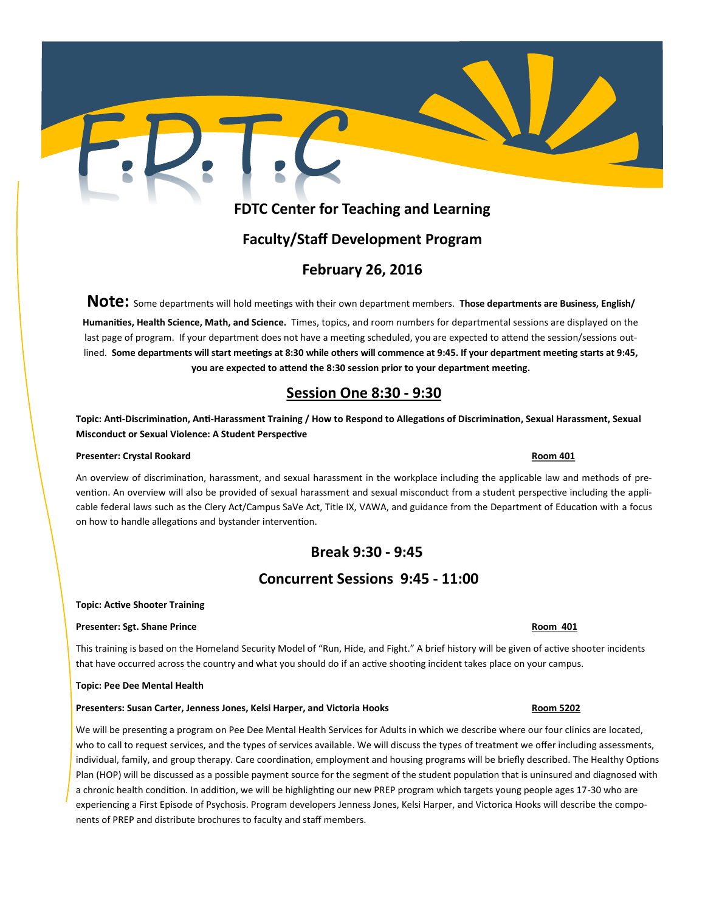# **FDTC Center for Teaching and Learning**

# **Faculty/Staff Development Program**

## **February 26, 2016**

**Note:** Some departments will hold meetings with their own department members. **Those departments are Business, English/**

**Humanities, Health Science, Math, and Science.** Times, topics, and room numbers for departmental sessions are displayed on the last page of program. If your department does not have a meeting scheduled, you are expected to attend the session/sessions outlined. **Some departments will start meetings at 8:30 while others will commence at 9:45. If your department meeting starts at 9:45, you are expected to attend the 8:30 session prior to your department meeting.**

# **Session One 8:30 - 9:30**

**Topic: Anti-Discrimination, Anti-Harassment Training / How to Respond to Allegations of Discrimination, Sexual Harassment, Sexual Misconduct or Sexual Violence: A Student Perspective** 

### **Presenter: Crystal Rookard Room 401**

An overview of discrimination, harassment, and sexual harassment in the workplace including the applicable law and methods of prevention. An overview will also be provided of sexual harassment and sexual misconduct from a student perspective including the applicable federal laws such as the Clery Act/Campus SaVe Act, Title IX, VAWA, and guidance from the Department of Education with a focus on how to handle allegations and bystander intervention.

# **Break 9:30 - 9:45**

# **Concurrent Sessions 9:45 - 11:00**

### **Topic: Active Shooter Training**

### **Presenter: Sgt. Shane Prince Room 401**

This training is based on the Homeland Security Model of "Run, Hide, and Fight." A brief history will be given of active shooter incidents that have occurred across the country and what you should do if an active shooting incident takes place on your campus.

### **Topic: Pee Dee Mental Health**

### **Presenters: Susan Carter, Jenness Jones, Kelsi Harper, and Victoria Hooks Room 5202 Room 5202**

We will be presenting a program on Pee Dee Mental Health Services for Adults in which we describe where our four clinics are located, who to call to request services, and the types of services available. We will discuss the types of treatment we offer including assessments, individual, family, and group therapy. Care coordination, employment and housing programs will be briefly described. The Healthy Options Plan (HOP) will be discussed as a possible payment source for the segment of the student population that is uninsured and diagnosed with a chronic health condition. In addition, we will be highlighting our new PREP program which targets young people ages 17-30 who are experiencing a First Episode of Psychosis. Program developers Jenness Jones, Kelsi Harper, and Victorica Hooks will describe the components of PREP and distribute brochures to faculty and staff members.